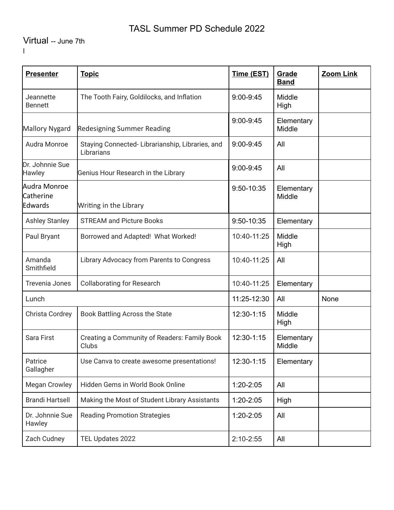# TASL Summer PD Schedule 2022

# Virtual -- June 7th

l

| <b>Presenter</b>                     | <b>Topic</b>                                                  | Time (EST)    | Grade<br><b>Band</b> | Zoom Link |
|--------------------------------------|---------------------------------------------------------------|---------------|----------------------|-----------|
| Jeannette<br><b>Bennett</b>          | The Tooth Fairy, Goldilocks, and Inflation                    | 9:00-9:45     | Middle<br>High       |           |
| <b>Mallory Nygard</b>                | <b>Redesigning Summer Reading</b>                             | $9:00 - 9:45$ | Elementary<br>Middle |           |
| Audra Monroe                         | Staying Connected-Librarianship, Libraries, and<br>Librarians | $9:00 - 9:45$ | All                  |           |
| Dr. Johnnie Sue<br><b>Hawley</b>     | Genius Hour Research in the Library                           | 9:00-9:45     | All                  |           |
| Audra Monroe<br>Catherine<br>Edwards | Writing in the Library                                        | 9:50-10:35    | Elementary<br>Middle |           |
| <b>Ashley Stanley</b>                | <b>STREAM and Picture Books</b>                               | 9:50-10:35    | Elementary           |           |
| Paul Bryant                          | Borrowed and Adapted! What Worked!                            | 10:40-11:25   | Middle<br>High       |           |
| Amanda<br>Smithfield                 | Library Advocacy from Parents to Congress                     | 10:40-11:25   | All                  |           |
| <b>Trevenia Jones</b>                | <b>Collaborating for Research</b>                             | 10:40-11:25   | Elementary           |           |
| Lunch                                |                                                               | 11:25-12:30   | All                  | None      |
| Christa Cordrey                      | Book Battling Across the State                                | 12:30-1:15    | Middle<br>High       |           |
| Sara First                           | Creating a Community of Readers: Family Book<br>Clubs         | 12:30-1:15    | Elementary<br>Middle |           |
| Patrice<br>Gallagher                 | Use Canva to create awesome presentations!                    | 12:30-1:15    | Elementary           |           |
| <b>Megan Crowley</b>                 | Hidden Gems in World Book Online                              | 1:20-2:05     | All                  |           |
| <b>Brandi Hartsell</b>               | Making the Most of Student Library Assistants                 | 1:20-2:05     | High                 |           |
| Dr. Johnnie Sue<br>Hawley            | <b>Reading Promotion Strategies</b>                           | 1:20-2:05     | All                  |           |
| Zach Cudney                          | TEL Updates 2022                                              | $2:10 - 2:55$ | All                  |           |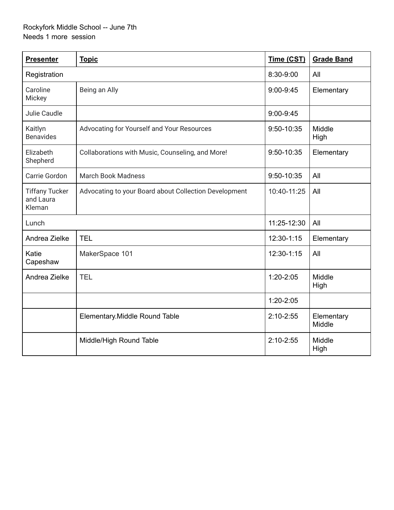### Rockyfork Middle School -- June 7th Needs 1 more session

| <b>Presenter</b>                             | <b>Topic</b>                                          | Time (CST)    | <b>Grade Band</b>    |
|----------------------------------------------|-------------------------------------------------------|---------------|----------------------|
| Registration                                 |                                                       | 8:30-9:00     | All                  |
| Caroline<br>Mickey                           | Being an Ally                                         | $9:00 - 9:45$ | Elementary           |
| Julie Caudle                                 |                                                       | $9:00 - 9:45$ |                      |
| Kaitlyn<br><b>Benavides</b>                  | Advocating for Yourself and Your Resources            | 9:50-10:35    | Middle<br>High       |
| Elizabeth<br>Shepherd                        | Collaborations with Music, Counseling, and More!      | 9:50-10:35    | Elementary           |
| Carrie Gordon                                | <b>March Book Madness</b>                             | 9:50-10:35    | All                  |
| <b>Tiffany Tucker</b><br>and Laura<br>Kleman | Advocating to your Board about Collection Development | 10:40-11:25   | All                  |
| Lunch                                        |                                                       | 11:25-12:30   | All                  |
| Andrea Zielke                                | <b>TEL</b>                                            | 12:30-1:15    | Elementary           |
| Katie<br>Capeshaw                            | MakerSpace 101                                        | 12:30-1:15    | All                  |
| Andrea Zielke                                | <b>TEL</b>                                            | $1:20 - 2:05$ | Middle<br>High       |
|                                              |                                                       | $1:20 - 2:05$ |                      |
|                                              | Elementary. Middle Round Table                        | $2:10 - 2:55$ | Elementary<br>Middle |
|                                              | Middle/High Round Table                               | $2:10 - 2:55$ | Middle<br>High       |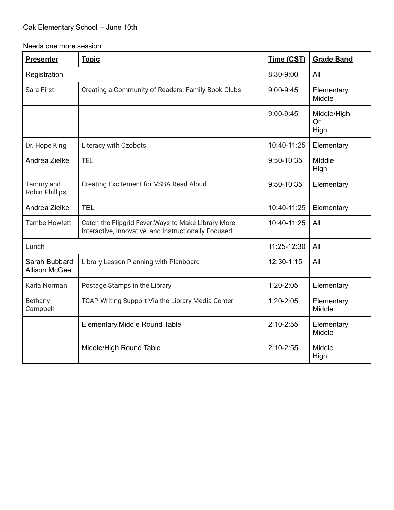### Oak Elementary School -- June 10th

Needs one more session

| <b>Presenter</b>                      | <b>Topic</b>                                                                                                | Time (CST)    | <b>Grade Band</b>         |
|---------------------------------------|-------------------------------------------------------------------------------------------------------------|---------------|---------------------------|
| Registration                          |                                                                                                             | 8:30-9:00     | All                       |
| <b>Sara First</b>                     | Creating a Community of Readers: Family Book Clubs                                                          | 9:00-9:45     | Elementary<br>Middle      |
|                                       |                                                                                                             | $9:00 - 9:45$ | Middle/High<br>Or<br>High |
| Dr. Hope King                         | Literacy with Ozobots                                                                                       | 10:40-11:25   | Elementary                |
| Andrea Zielke                         | <b>TEL</b>                                                                                                  | 9:50-10:35    | Middle<br>High            |
| Tammy and<br><b>Robin Phillips</b>    | <b>Creating Excitement for VSBA Read Aloud</b>                                                              | 9:50-10:35    | Elementary                |
| Andrea Zielke                         | <b>TEL</b>                                                                                                  | 10:40-11:25   | Elementary                |
| <b>Tambe Howlett</b>                  | Catch the Flipgrid Fever: Ways to Make Library More<br>Interactive, Innovative, and Instructionally Focused | 10:40-11:25   | All                       |
| Lunch                                 |                                                                                                             | 11:25-12:30   | All                       |
| Sarah Bubbard<br><b>Allison McGee</b> | Library Lesson Planning with Planboard                                                                      | 12:30-1:15    | All                       |
| Karla Norman                          | Postage Stamps in the Library                                                                               | $1:20-2:05$   | Elementary                |
| Bethany<br>Campbell                   | TCAP Writing Support Via the Library Media Center                                                           | $1:20-2:05$   | Elementary<br>Middle      |
|                                       | Elementary. Middle Round Table                                                                              | $2:10-2:55$   | Elementary<br>Middle      |
|                                       | Middle/High Round Table                                                                                     | $2:10-2:55$   | Middle<br>High            |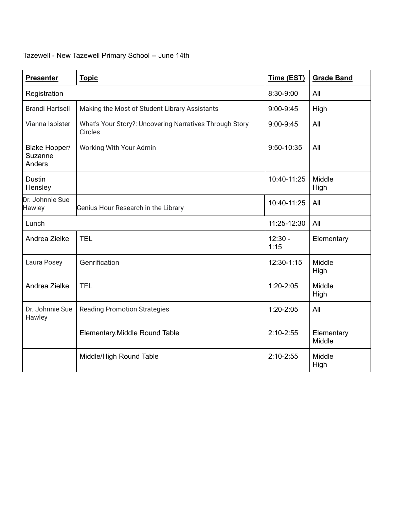| <b>Presenter</b>                   | <b>Topic</b>                                                              | Time (EST)        | <b>Grade Band</b>    |
|------------------------------------|---------------------------------------------------------------------------|-------------------|----------------------|
| Registration                       |                                                                           | 8:30-9:00         | All                  |
| <b>Brandi Hartsell</b>             | Making the Most of Student Library Assistants                             | $9:00 - 9:45$     | High                 |
| Vianna Isbister                    | What's Your Story?: Uncovering Narratives Through Story<br><b>Circles</b> | 9:00-9:45         | All                  |
| Blake Hopper/<br>Suzanne<br>Anders | Working With Your Admin                                                   | 9:50-10:35        | All                  |
| <b>Dustin</b><br>Hensley           |                                                                           | 10:40-11:25       | Middle<br>High       |
| Dr. Johnnie Sue<br>Hawley          | Genius Hour Research in the Library                                       | 10:40-11:25       | All                  |
| Lunch                              |                                                                           | 11:25-12:30       | All                  |
| Andrea Zielke                      | <b>TEL</b>                                                                | $12:30 -$<br>1:15 | Elementary           |
| Laura Posey                        | Genrification                                                             | 12:30-1:15        | Middle<br>High       |
| Andrea Zielke                      | <b>TEL</b>                                                                | 1:20-2:05         | Middle<br>High       |
| Dr. Johnnie Sue<br>Hawley          | <b>Reading Promotion Strategies</b>                                       | $1:20 - 2:05$     | All                  |
|                                    | Elementary. Middle Round Table                                            | $2:10 - 2:55$     | Elementary<br>Middle |
|                                    | Middle/High Round Table                                                   | $2:10 - 2:55$     | Middle<br>High       |

# Tazewell - New Tazewell Primary School -- June 14th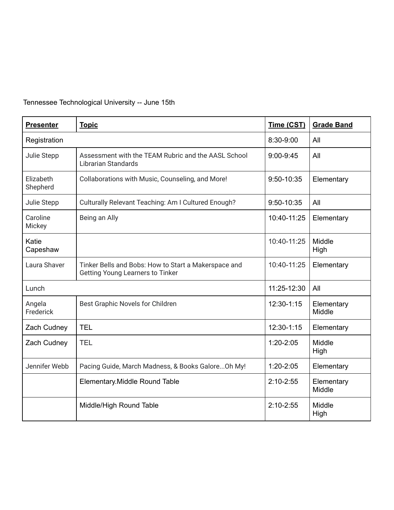# Tennessee Technological University -- June 15th

| <b>Presenter</b>      | <b>Topic</b>                                                                                    | Time (CST)    | <b>Grade Band</b>    |
|-----------------------|-------------------------------------------------------------------------------------------------|---------------|----------------------|
| Registration          |                                                                                                 | 8:30-9:00     | All                  |
| Julie Stepp           | Assessment with the TEAM Rubric and the AASL School<br><b>Librarian Standards</b>               | $9:00 - 9:45$ | All                  |
| Elizabeth<br>Shepherd | Collaborations with Music, Counseling, and More!                                                | 9:50-10:35    | Elementary           |
| Julie Stepp           | Culturally Relevant Teaching: Am I Cultured Enough?                                             | 9:50-10:35    | All                  |
| Caroline<br>Mickey    | Being an Ally                                                                                   | 10:40-11:25   | Elementary           |
| Katie<br>Capeshaw     |                                                                                                 | 10:40-11:25   | Middle<br>High       |
| Laura Shaver          | Tinker Bells and Bobs: How to Start a Makerspace and<br><b>Getting Young Learners to Tinker</b> | 10:40-11:25   | Elementary           |
| Lunch                 |                                                                                                 | 11:25-12:30   | All                  |
| Angela<br>Frederick   | Best Graphic Novels for Children                                                                | 12:30-1:15    | Elementary<br>Middle |
| Zach Cudney           | <b>TEL</b>                                                                                      | 12:30-1:15    | Elementary           |
| Zach Cudney           | <b>TEL</b>                                                                                      | $1:20 - 2:05$ | Middle<br>High       |
| Jennifer Webb         | Pacing Guide, March Madness, & Books GaloreOh My!                                               | $1:20 - 2:05$ | Elementary           |
|                       | Elementary. Middle Round Table                                                                  | $2:10 - 2:55$ | Elementary<br>Middle |
|                       | Middle/High Round Table                                                                         | $2:10 - 2:55$ | Middle<br>High       |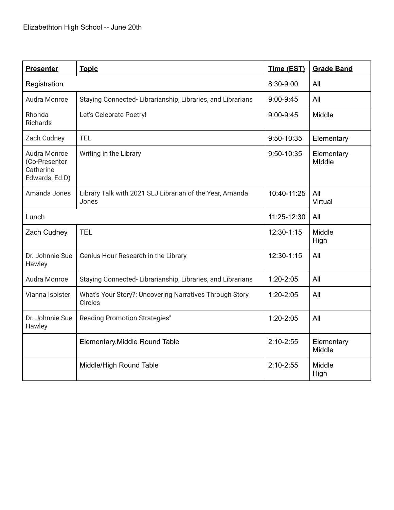| <b>Presenter</b>                                             | <b>Topic</b>                                                              | Time (EST)    | <b>Grade Band</b>    |
|--------------------------------------------------------------|---------------------------------------------------------------------------|---------------|----------------------|
| Registration                                                 |                                                                           | 8:30-9:00     | All                  |
| Audra Monroe                                                 | Staying Connected-Librarianship, Libraries, and Librarians                | $9:00 - 9:45$ | All                  |
| Rhonda<br><b>Richards</b>                                    | Let's Celebrate Poetry!                                                   | 9:00-9:45     | Middle               |
| Zach Cudney                                                  | <b>TEL</b>                                                                | 9:50-10:35    | Elementary           |
| Audra Monroe<br>(Co-Presenter<br>Catherine<br>Edwards, Ed.D) | Writing in the Library                                                    | 9:50-10:35    | Elementary<br>Middle |
| Amanda Jones                                                 | Library Talk with 2021 SLJ Librarian of the Year, Amanda<br>Jones         | 10:40-11:25   | All<br>Virtual       |
| Lunch                                                        |                                                                           | 11:25-12:30   | All                  |
| Zach Cudney                                                  | <b>TEL</b>                                                                | 12:30-1:15    | Middle<br>High       |
| Dr. Johnnie Sue<br>Hawley                                    | Genius Hour Research in the Library                                       | 12:30-1:15    | All                  |
| Audra Monroe                                                 | Staying Connected-Librarianship, Libraries, and Librarians                | $1:20 - 2:05$ | All                  |
| Vianna Isbister                                              | What's Your Story?: Uncovering Narratives Through Story<br><b>Circles</b> | $1:20 - 2:05$ | All                  |
| Dr. Johnnie Sue<br>Hawley                                    | <b>Reading Promotion Strategies"</b>                                      | $1:20 - 2:05$ | All                  |
|                                                              | Elementary. Middle Round Table                                            | $2:10 - 2:55$ | Elementary<br>Middle |
|                                                              | Middle/High Round Table                                                   | $2:10 - 2:55$ | Middle<br>High       |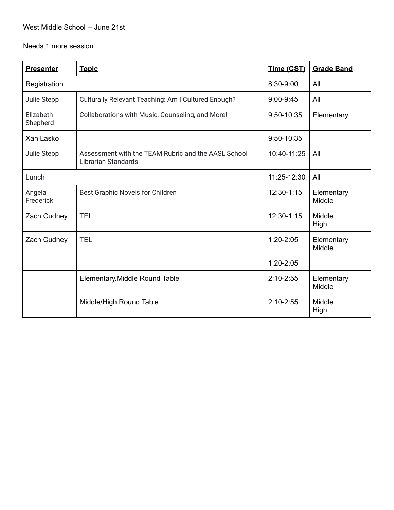#### West Middle School -- June 21st

Needs 1 more session

| <b>Presenter</b>      | <b>Topic</b>                                                                      | Time (CST)    | <b>Grade Band</b>    |
|-----------------------|-----------------------------------------------------------------------------------|---------------|----------------------|
| Registration          |                                                                                   | 8:30-9:00     | All                  |
| Julie Stepp           | Culturally Relevant Teaching: Am I Cultured Enough?                               | $9:00 - 9:45$ | All                  |
| Elizabeth<br>Shepherd | Collaborations with Music, Counseling, and More!                                  | 9:50-10:35    | Elementary           |
| Xan Lasko             |                                                                                   | 9:50-10:35    |                      |
| Julie Stepp           | Assessment with the TEAM Rubric and the AASL School<br><b>Librarian Standards</b> | 10:40-11:25   | All                  |
| Lunch                 |                                                                                   | 11:25-12:30   | All                  |
| Angela<br>Frederick   | Best Graphic Novels for Children                                                  | 12:30-1:15    | Elementary<br>Middle |
| Zach Cudney           | <b>TEL</b>                                                                        | 12:30-1:15    | Middle<br>High       |
| Zach Cudney           | <b>TEL</b>                                                                        | $1:20 - 2:05$ | Elementary<br>Middle |
|                       |                                                                                   | $1:20 - 2:05$ |                      |
|                       | Elementary. Middle Round Table                                                    | $2:10 - 2:55$ | Elementary<br>Middle |
|                       | Middle/High Round Table                                                           | $2:10 - 2:55$ | Middle<br>High       |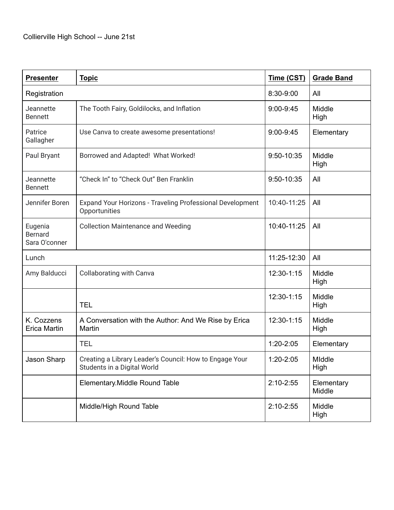| <b>Presenter</b>                           | <b>Topic</b>                                                                           | Time (CST)    | <b>Grade Band</b>    |
|--------------------------------------------|----------------------------------------------------------------------------------------|---------------|----------------------|
| Registration                               |                                                                                        | 8:30-9:00     | All                  |
| Jeannette<br><b>Bennett</b>                | The Tooth Fairy, Goldilocks, and Inflation                                             | $9:00 - 9:45$ | Middle<br>High       |
| Patrice<br>Gallagher                       | Use Canva to create awesome presentations!                                             | 9:00-9:45     | Elementary           |
| Paul Bryant                                | Borrowed and Adapted! What Worked!                                                     | 9:50-10:35    | Middle<br>High       |
| Jeannette<br><b>Bennett</b>                | "Check In" to "Check Out" Ben Franklin                                                 | 9:50-10:35    | All                  |
| Jennifer Boren                             | Expand Your Horizons - Traveling Professional Development<br>Opportunities             | 10:40-11:25   | All                  |
| Eugenia<br><b>Bernard</b><br>Sara O'conner | <b>Collection Maintenance and Weeding</b>                                              | 10:40-11:25   | All                  |
| Lunch                                      |                                                                                        | 11:25-12:30   | All                  |
| Amy Balducci                               | <b>Collaborating with Canva</b>                                                        | 12:30-1:15    | Middle<br>High       |
|                                            | <b>TEL</b>                                                                             | 12:30-1:15    | Middle<br>High       |
| K. Cozzens<br><b>Erica Martin</b>          | A Conversation with the Author: And We Rise by Erica<br>Martin                         | 12:30-1:15    | Middle<br>High       |
|                                            | <b>TEL</b>                                                                             | 1:20-2:05     | Elementary           |
| Jason Sharp                                | Creating a Library Leader's Council: How to Engage Your<br>Students in a Digital World | 1:20-2:05     | MIddle<br>High       |
|                                            | Elementary. Middle Round Table                                                         | $2:10 - 2:55$ | Elementary<br>Middle |
|                                            | Middle/High Round Table                                                                | $2:10 - 2:55$ | Middle<br>High       |